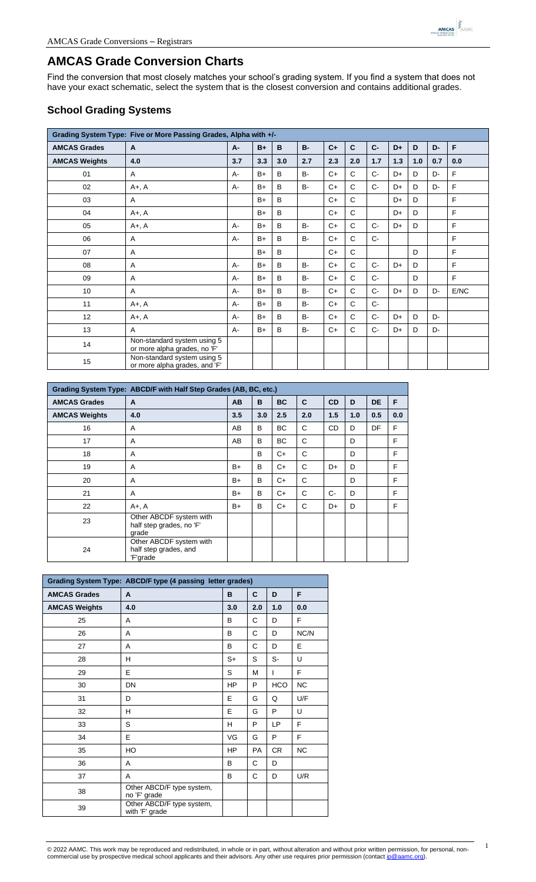

## **AMCAS Grade Conversion Charts**

Find the conversion that most closely matches your school's grading system. If you find a system that does not have your exact schematic, select the system that is the closest conversion and contains additional grades.

## **School Grading Systems**

| Grading System Type: Five or More Passing Grades, Alpha with +/- |                                                              |           |      |     |           |       |              |       |     |     |     |      |
|------------------------------------------------------------------|--------------------------------------------------------------|-----------|------|-----|-----------|-------|--------------|-------|-----|-----|-----|------|
| <b>AMCAS Grades</b>                                              | $\mathbf{A}$                                                 | <b>A-</b> | $B+$ | B   | $B -$     | $C +$ | $\mathbf c$  | $C-$  | D+  | D   | D-  | F    |
| <b>AMCAS Weights</b>                                             | 4.0                                                          | 3.7       | 3.3  | 3.0 | 2.7       | 2.3   | 2.0          | 1.7   | 1.3 | 1.0 | 0.7 | 0.0  |
| 01                                                               | A                                                            | $A -$     | $B+$ | B   | <b>B-</b> | $C+$  | $\mathsf{C}$ | $C -$ | D+  | D   | D-  | F    |
| 02                                                               | $A+$ , $A$                                                   | $A -$     | $B+$ | B   | <b>B-</b> | $C+$  | $\mathsf{C}$ | $C -$ | D+  | D   | D-  | F    |
| 03                                                               | A                                                            |           | $B+$ | B   |           | $C+$  | $\mathsf{C}$ |       | D+  | D   |     | F    |
| 04                                                               | $A+$ , $A$                                                   |           | $B+$ | B   |           | $C+$  | $\mathsf{C}$ |       | D+  | D   |     | F    |
| 05                                                               | $A+$ , $A$                                                   | A-        | $B+$ | B   | <b>B-</b> | $C+$  | $\mathsf{C}$ | $C-$  | D+  | D   |     | F    |
| 06                                                               | Α                                                            | A-        | $B+$ | B   | <b>B-</b> | $C+$  | $\mathsf{C}$ | $C -$ |     |     |     | F    |
| 07                                                               | A                                                            |           | $B+$ | B   |           | $C+$  | $\mathsf{C}$ |       |     | D   |     | F    |
| 08                                                               | A                                                            | $A -$     | $B+$ | B   | $B -$     | $C+$  | $\mathsf{C}$ | $C -$ | D+  | D   |     | F    |
| 09                                                               | A                                                            | $A -$     | $B+$ | B   | <b>B-</b> | $C+$  | $\mathsf{C}$ | $C -$ |     | D   |     | F    |
| 10                                                               | A                                                            | A-        | $B+$ | B   | <b>B-</b> | $C+$  | $\mathsf{C}$ | $C -$ | D+  | D   | D-  | E/NC |
| 11                                                               | $A+$ , $A$                                                   | $A -$     | $B+$ | B   | <b>B-</b> | $C+$  | $\mathsf{C}$ | $C -$ |     |     |     |      |
| 12                                                               | $A+$ , $A$                                                   | $A -$     | $B+$ | B   | $B -$     | $C+$  | $\mathsf{C}$ | $C -$ | D+  | D   | D-  |      |
| 13                                                               | $\mathsf{A}$                                                 | $A -$     | $B+$ | B   | <b>B-</b> | $C+$  | C            | $C-$  | D+  | D   | D-  |      |
| 14                                                               | Non-standard system using 5<br>or more alpha grades, no 'F'  |           |      |     |           |       |              |       |     |     |     |      |
| 15                                                               | Non-standard system using 5<br>or more alpha grades, and 'F' |           |      |     |           |       |              |       |     |     |     |      |

|                      | Grading System Type: ABCD/F with Half Step Grades (AB, BC, etc.) |      |     |           |     |           |     |           |     |  |  |  |
|----------------------|------------------------------------------------------------------|------|-----|-----------|-----|-----------|-----|-----------|-----|--|--|--|
| <b>AMCAS Grades</b>  | $\mathbf{A}$                                                     | AB   | B   | <b>BC</b> | C   | <b>CD</b> | D   | <b>DE</b> | F   |  |  |  |
| <b>AMCAS Weights</b> | 4.0                                                              | 3.5  | 3.0 | 2.5       | 2.0 | 1.5       | 1.0 | 0.5       | 0.0 |  |  |  |
| 16                   | A                                                                | AB   | B   | <b>BC</b> | C   | <b>CD</b> | D   | DF        | F   |  |  |  |
| 17                   | A                                                                | AB   | B   | BC.       | C   |           | D   |           | F   |  |  |  |
| 18                   | A                                                                |      | B   | $C+$      | C   |           | D   |           | F   |  |  |  |
| 19                   | A                                                                | B+   | B   | $C+$      | C   | D+        | D   |           | F   |  |  |  |
| 20                   | A                                                                | B+   | B   | $C+$      | C   |           | D   |           | F   |  |  |  |
| 21                   | A                                                                | $B+$ | B   | $C+$      | C   | $C -$     | D   |           | F   |  |  |  |
| 22                   | $A+$ , $A$                                                       | B+   | B   | C+        | C   | D+        | D   |           | F   |  |  |  |
| 23                   | Other ABCDF system with<br>half step grades, no 'F'<br>grade     |      |     |           |     |           |     |           |     |  |  |  |
| 24                   | Other ABCDF system with<br>half step grades, and<br>'F'grade     |      |     |           |     |           |     |           |     |  |  |  |

|                      | Grading System Type: ABCD/F type (4 passing letter grades) |           |           |            |      |
|----------------------|------------------------------------------------------------|-----------|-----------|------------|------|
| <b>AMCAS Grades</b>  | A                                                          | B         | C         | D          | F    |
| <b>AMCAS Weights</b> | 4.0                                                        | 3.0       | 2.0       | 1.0        | 0.0  |
| 25                   | A                                                          | B         | С         | D          | F    |
| 26                   | A                                                          | B         | С         | D          | NC/N |
| 27                   | A                                                          | B         | С         | D          | Е    |
| 28                   | н                                                          | S+        | S         | S-         | U    |
| 29                   | E                                                          | S         | M         | T          | F    |
| 30                   | DN                                                         | <b>HP</b> | P         | <b>HCO</b> | NC   |
| 31                   | D                                                          | E         | G         | Q          | U/F  |
| 32                   | н                                                          | E         | G         | P          | U    |
| 33                   | S                                                          | H         | P         | LP         | F    |
| 34                   | E                                                          | VG        | G         | P          | F    |
| 35                   | HO.                                                        | HP        | <b>PA</b> | <b>CR</b>  | NC.  |
| 36                   | A                                                          | B         | C         | D          |      |
| 37                   | A                                                          | B         | C         | D          | U/R  |
| 38                   | Other ABCD/F type system,<br>no 'F' grade                  |           |           |            |      |
| 39                   | Other ABCD/F type system,<br>with 'F' grade                |           |           |            |      |

| © 2022 AAMC. This work may be reproduced and redistributed, in whole or in part, without alteration and without prior written permission, for personal, non- |  |
|--------------------------------------------------------------------------------------------------------------------------------------------------------------|--|
| commercial use by prospective medical school applicants and their advisors. Any other use requires prior permission (contact ip@aamc.org).                   |  |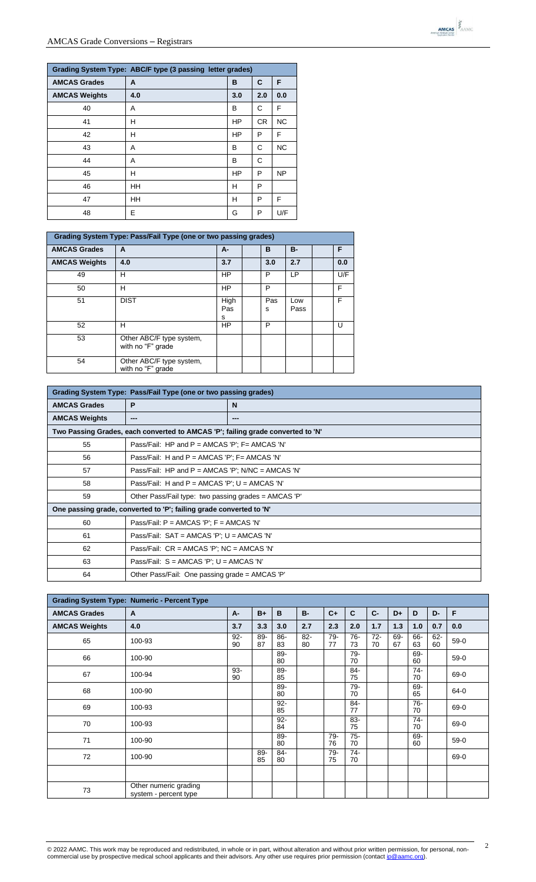| Grading System Type: ABC/F type (3 passing letter grades) |     |           |           |           |  |  |  |  |  |  |  |
|-----------------------------------------------------------|-----|-----------|-----------|-----------|--|--|--|--|--|--|--|
| <b>AMCAS Grades</b>                                       | A   | в         | C         | F         |  |  |  |  |  |  |  |
| <b>AMCAS Weights</b>                                      | 4.0 | 3.0       | 2.0       | 0.0       |  |  |  |  |  |  |  |
| 40                                                        | A   | в         | С         | F         |  |  |  |  |  |  |  |
| 41                                                        | н   | <b>HP</b> | <b>CR</b> | <b>NC</b> |  |  |  |  |  |  |  |
| 42                                                        | н   | <b>HP</b> | P         | F         |  |  |  |  |  |  |  |
| 43                                                        | A   | в         | C         | <b>NC</b> |  |  |  |  |  |  |  |
| 44                                                        | A   | в         | С         |           |  |  |  |  |  |  |  |
| 45                                                        | н   | <b>HP</b> | P         | <b>NP</b> |  |  |  |  |  |  |  |
| 46                                                        | HH  | н         | P         |           |  |  |  |  |  |  |  |
| 47                                                        | HH  | н         | P         | F         |  |  |  |  |  |  |  |
| 48                                                        | E   | G         | P         | U/F       |  |  |  |  |  |  |  |

|                      | <b>Grading System Type: Pass/Fail Type (one or two passing grades)</b> |                  |  |          |             |  |     |  |  |  |  |  |
|----------------------|------------------------------------------------------------------------|------------------|--|----------|-------------|--|-----|--|--|--|--|--|
| <b>AMCAS Grades</b>  | A                                                                      | A-               |  | B        | <b>B-</b>   |  | F.  |  |  |  |  |  |
| <b>AMCAS Weights</b> | 4.0                                                                    | 3.7              |  | 3.0      | 2.7         |  | 0.0 |  |  |  |  |  |
| 49                   | н                                                                      | <b>HP</b>        |  | P        | LP          |  | U/F |  |  |  |  |  |
| 50                   | н                                                                      | HP               |  | P        |             |  | F   |  |  |  |  |  |
| 51                   | <b>DIST</b>                                                            | High<br>Pas<br>s |  | Pas<br>s | Low<br>Pass |  | F   |  |  |  |  |  |
| 52                   | н                                                                      | HP               |  | P        |             |  | U   |  |  |  |  |  |
| 53                   | Other ABC/F type system,<br>with no "F" grade                          |                  |  |          |             |  |     |  |  |  |  |  |
| 54                   | Other ABC/F type system,<br>with no "F" grade                          |                  |  |          |             |  |     |  |  |  |  |  |

| Grading System Type: Pass/Fail Type (one or two passing grades)                 |                                                                     |                                                 |  |  |  |  |  |  |  |
|---------------------------------------------------------------------------------|---------------------------------------------------------------------|-------------------------------------------------|--|--|--|--|--|--|--|
| <b>AMCAS Grades</b>                                                             | P                                                                   | N                                               |  |  |  |  |  |  |  |
| <b>AMCAS Weights</b>                                                            | ---                                                                 | ---                                             |  |  |  |  |  |  |  |
| Two Passing Grades, each converted to AMCAS 'P'; failing grade converted to 'N' |                                                                     |                                                 |  |  |  |  |  |  |  |
| 55<br>Pass/Fail: HP and $P = AMCAS'P'$ : F= AMCAS 'N'                           |                                                                     |                                                 |  |  |  |  |  |  |  |
| 56                                                                              | Pass/Fail: H and $P = AMCAS'P'$ ; F= AMCAS 'N'                      |                                                 |  |  |  |  |  |  |  |
| 57                                                                              | Pass/Fail: HP and $P = AMCAS'P'$ ; N/NC = AMCAS 'N'                 |                                                 |  |  |  |  |  |  |  |
| 58                                                                              |                                                                     | Pass/Fail: H and P = AMCAS 'P'; $U = AMCAS$ 'N' |  |  |  |  |  |  |  |
| 59                                                                              | Other Pass/Fail type: two passing grades = AMCAS 'P'                |                                                 |  |  |  |  |  |  |  |
|                                                                                 | One passing grade, converted to 'P'; failing grade converted to 'N' |                                                 |  |  |  |  |  |  |  |
| 60                                                                              | Pass/Fail: $P = AMCAS'P'$ ; $F = AMCAS'N'$                          |                                                 |  |  |  |  |  |  |  |
| 61                                                                              | Pass/Fail: SAT = AMCAS 'P'; U = AMCAS 'N'                           |                                                 |  |  |  |  |  |  |  |
| 62                                                                              | Pass/Fail: CR = AMCAS 'P'; NC = AMCAS 'N'                           |                                                 |  |  |  |  |  |  |  |
| 63                                                                              | Pass/Fail: $S = AMCAS'P'$ ; $U = AMCAS'N'$                          |                                                 |  |  |  |  |  |  |  |
| 64                                                                              | Other Pass/Fail: One passing grade = AMCAS 'P'                      |                                                 |  |  |  |  |  |  |  |

|                      | <b>Grading System Type: Numeric - Percent Type</b> |              |           |              |              |              |              |              |           |              |              |        |
|----------------------|----------------------------------------------------|--------------|-----------|--------------|--------------|--------------|--------------|--------------|-----------|--------------|--------------|--------|
| <b>AMCAS Grades</b>  | A                                                  | A-           | $B+$      | B            | <b>B-</b>    | $C +$        | C            | $C -$        | D+        | D            | D-           | F      |
| <b>AMCAS Weights</b> | 4.0                                                | 3.7          | 3.3       | 3.0          | 2.7          | 2.3          | 2.0          | 1.7          | 1.3       | 1.0          | 0.7          | 0.0    |
| 65                   | 100-93                                             | $92 -$<br>90 | 89-<br>87 | 86-<br>83    | $82 -$<br>80 | 79-<br>77    | $76 -$<br>73 | $72 -$<br>70 | 69-<br>67 | 66-<br>63    | $62 -$<br>60 | $59-0$ |
| 66                   | 100-90                                             |              |           | 89-<br>80    |              |              | 79-<br>70    |              |           | 69-<br>60    |              | $59-0$ |
| 67                   | 100-94                                             | 93-<br>90    |           | 89-<br>85    |              |              | 84-<br>75    |              |           | $74-$<br>70  |              | 69-0   |
| 68                   | 100-90                                             |              |           | 89-<br>80    |              |              | 79-<br>70    |              |           | 69-<br>65    |              | 64-0   |
| 69                   | 100-93                                             |              |           | $92-$<br>85  |              |              | 84-<br>77    |              |           | $76-$<br>70  |              | 69-0   |
| 70                   | 100-93                                             |              |           | $92 -$<br>84 |              |              | 83-<br>75    |              |           | $74 -$<br>70 |              | 69-0   |
| 71                   | 100-90                                             |              |           | 89-<br>80    |              | 79-<br>76    | $75 -$<br>70 |              |           | 69-<br>60    |              | $59-0$ |
| 72                   | 100-90                                             |              | 89-<br>85 | 84-<br>80    |              | $79 -$<br>75 | 74-<br>70    |              |           |              |              | 69-0   |
|                      |                                                    |              |           |              |              |              |              |              |           |              |              |        |
| 73                   | Other numeric grading<br>system - percent type     |              |           |              |              |              |              |              |           |              |              |        |



2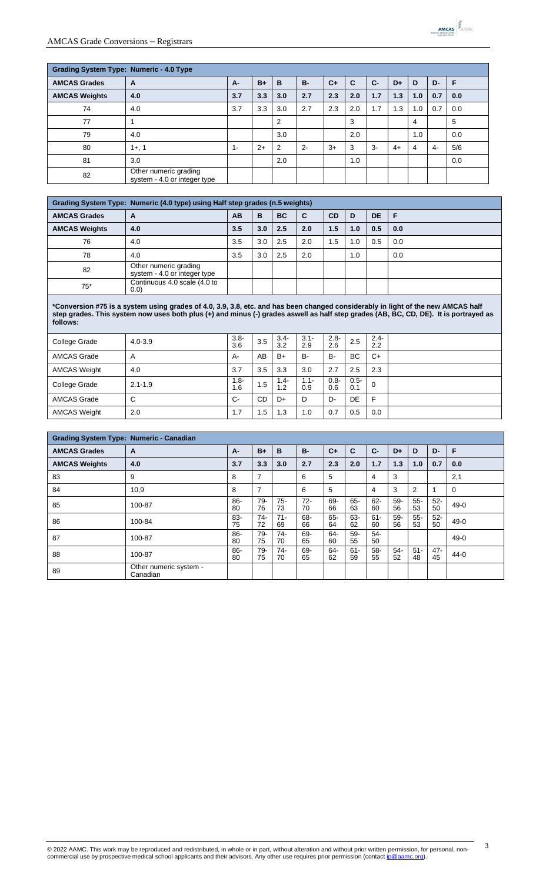| <b>Grading System Type: Numeric - 4.0 Type</b> |                                                       |       |      |                |           |      |     |       |      |     |     |     |
|------------------------------------------------|-------------------------------------------------------|-------|------|----------------|-----------|------|-----|-------|------|-----|-----|-----|
| <b>AMCAS Grades</b>                            | A                                                     | $A -$ | $B+$ | B              | <b>B-</b> | $C+$ | C   | $C -$ | D+   | D   | D-  | F   |
| <b>AMCAS Weights</b>                           | 4.0                                                   | 3.7   | 3.3  | 3.0            | 2.7       | 2.3  | 2.0 | 1.7   | 1.3  | 1.0 | 0.7 | 0.0 |
| 74                                             | 4.0                                                   | 3.7   | 3.3  | 3.0            | 2.7       | 2.3  | 2.0 | 1.7   | 1.3  | 1.0 | 0.7 | 0.0 |
| 77                                             |                                                       |       |      | $\overline{2}$ |           |      | 3   |       |      | 4   |     | 5   |
| 79                                             | 4.0                                                   |       |      | 3.0            |           |      | 2.0 |       |      | 1.0 |     | 0.0 |
| 80                                             | $1+, 1$                                               | $1 -$ | $2+$ | 2              | $2 -$     | $3+$ | 3   | $3-$  | $4+$ | 4   | 4-  | 5/6 |
| 81                                             | 3.0                                                   |       |      | 2.0            |           |      | 1.0 |       |      |     |     | 0.0 |
| 82                                             | Other numeric grading<br>system - 4.0 or integer type |       |      |                |           |      |     |       |      |     |     |     |

| Grading System Type: Numeric (4.0 type) using Half step grades (n.5 weights) |                                                       |           |     |           |     |           |     |           |     |  |
|------------------------------------------------------------------------------|-------------------------------------------------------|-----------|-----|-----------|-----|-----------|-----|-----------|-----|--|
| <b>AMCAS Grades</b>                                                          | A                                                     | <b>AB</b> | в   | <b>BC</b> | C   | <b>CD</b> | D   | <b>DE</b> | F   |  |
| <b>AMCAS Weights</b>                                                         | 4.0                                                   | 3.5       | 3.0 | 2.5       | 2.0 | 1.5       | 1.0 | 0.5       | 0.0 |  |
| 76                                                                           | 4.0                                                   | 3.5       | 3.0 | 2.5       | 2.0 | 1.5       | 1.0 | 0.5       | 0.0 |  |
| 78                                                                           | 4.0                                                   | 3.5       | 3.0 | 2.5       | 2.0 |           | 1.0 |           | 0.0 |  |
| 82                                                                           | Other numeric grading<br>system - 4.0 or integer type |           |     |           |     |           |     |           |     |  |
| $75*$                                                                        | Continuous 4.0 scale (4.0 to<br>(0.0)                 |           |     |           |     |           |     |           |     |  |

**\*Conversion #75 is a system using grades of 4.0, 3.9, 3.8, etc. and has been changed considerably in light of the new AMCAS half step grades. This system now uses both plus (+) and minus (-) grades aswell as half step grades (AB, BC, CD, DE). It is portrayed as follows:**

| College Grade       | $4.0 - 3.9$ | $3.8 -$<br>3.6 | 3.5       | $3.4 -$<br>3.2 | $3.1 -$<br>2.9 | $2.8 -$<br>2.6 | 2.5            | $2.4 -$<br>2.2 |  |
|---------------------|-------------|----------------|-----------|----------------|----------------|----------------|----------------|----------------|--|
| <b>AMCAS Grade</b>  | A           | А-             | AB        | $B+$           | B-             | <b>B-</b>      | <b>BC</b>      | $C+$           |  |
| <b>AMCAS Weight</b> | 4.0         | 3.7            | 3.5       | 3.3            | 3.0            | 2.7            | 2.5            | 2.3            |  |
| College Grade       | $2.1 - 1.9$ | -8. ا<br>1.6   | 1.5       | $1.4 -$<br>1.2 | $1.1 -$<br>0.9 | $0.8 -$<br>0.6 | $0.5 -$<br>0.1 | 0              |  |
| <b>AMCAS Grade</b>  | C           | $C-$           | <b>CD</b> | D+             | D              | D-             | DE             | F              |  |
| <b>AMCAS Weight</b> | 2.0         | 1.7            | 5.،       | 1.3            | 1.0            | 0.7            | 0.5            | 0.0            |  |

| <b>Grading System Type: Numeric - Canadian</b> |                                    |              |                |              |             |              |              |              |           |              |              |          |
|------------------------------------------------|------------------------------------|--------------|----------------|--------------|-------------|--------------|--------------|--------------|-----------|--------------|--------------|----------|
| <b>AMCAS Grades</b>                            | A                                  | A-           | $B+$           | B            | <b>B-</b>   | $C+$         | C            | $C -$        | D+        | D            | D-           | F        |
| <b>AMCAS Weights</b>                           | 4.0                                | 3.7          | 3.3            | 3.0          | 2.7         | 2.3          | 2.0          | 1.7          | 1.3       | 1.0          | 0.7          | 0.0      |
| 83                                             | 9                                  | 8            | 7              |              | 6           | 5            |              | 4            | 3         |              |              | 2,1      |
| 84                                             | 10,9                               | 8            | $\overline{7}$ |              | 6           | 5            |              | 4            | 3         | 2            |              | $\Omega$ |
| 85                                             | 100-87                             | 86-<br>80    | 79-<br>76      | 75-<br>73    | $72-$<br>70 | 69-<br>66    | 65-<br>63    | $62 -$<br>60 | 59-<br>56 | $55 -$<br>53 | $52-$<br>50  | 49-0     |
| 86                                             | 100-84                             | 83-<br>75    | $74-$<br>72    | $71 -$<br>69 | 68-<br>66   | $65 -$<br>64 | 63-<br>62    | $61 -$<br>60 | 59-<br>56 | $55 -$<br>53 | $52-$<br>50  | 49-0     |
| 87                                             | 100-87                             | $86-$<br>80  | $79 -$<br>75   | $74-$<br>70  | 69-<br>65   | 64-<br>60    | 59-<br>55    | $54-$<br>50  |           |              |              | $49-0$   |
| 88                                             | 100-87                             | $86 -$<br>80 | 79-<br>75      | 74-<br>70    | 69-<br>65   | 64-<br>62    | $61 -$<br>59 | $58-$<br>55  | 54-<br>52 | $51 -$<br>48 | $47 -$<br>45 | $44 - 0$ |
| 89                                             | Other numeric system -<br>Canadian |              |                |              |             |              |              |              |           |              |              |          |